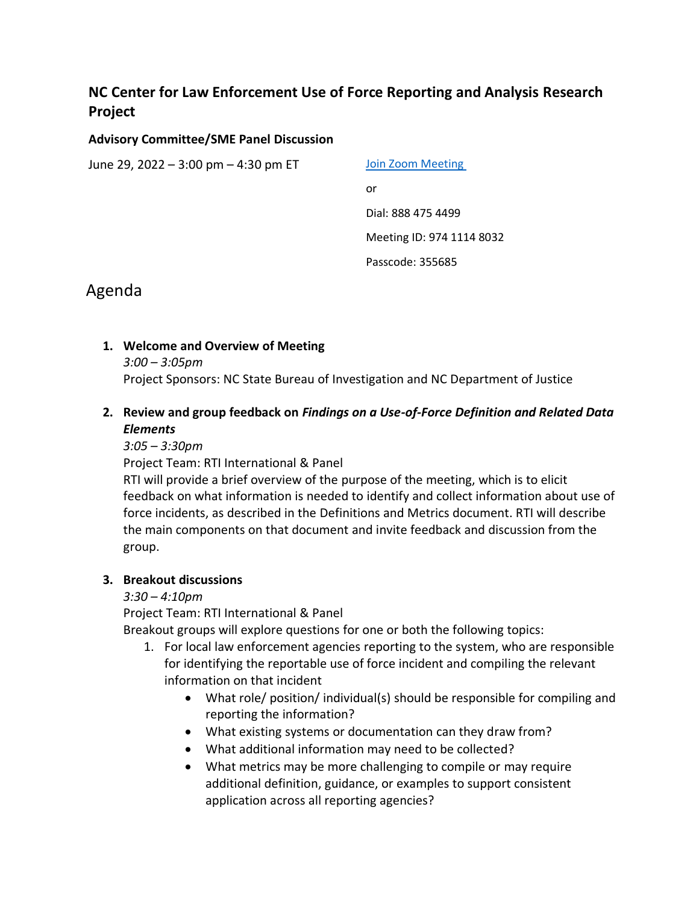# **NC Center for Law Enforcement Use of Force Reporting and Analysis Research Project**

### **Advisory Committee/SME Panel Discussion**

June 29, 2022 – 3:00  $pm - 4:30$  pm ET  $Join$  Zoom Meeting

or Dial: 888 475 4499 Meeting ID: 974 1114 8032

Passcode: 355685

# Agenda

## **1. Welcome and Overview of Meeting**

*3:00 – 3:05pm*

Project Sponsors: NC State Bureau of Investigation and NC Department of Justice

## **2. Review and group feedback on** *Findings on a Use-of-Force Definition and Related Data Elements*

### *3:05 – 3:30pm*

Project Team: RTI International & Panel

RTI will provide a brief overview of the purpose of the meeting, which is to elicit feedback on what information is needed to identify and collect information about use of force incidents, as described in the Definitions and Metrics document. RTI will describe the main components on that document and invite feedback and discussion from the group.

## **3. Breakout discussions**

## *3:30 – 4:10pm*

Project Team: RTI International & Panel

Breakout groups will explore questions for one or both the following topics:

- 1. For local law enforcement agencies reporting to the system, who are responsible for identifying the reportable use of force incident and compiling the relevant information on that incident
	- What role/ position/ individual(s) should be responsible for compiling and reporting the information?
	- What existing systems or documentation can they draw from?
	- What additional information may need to be collected?
	- What metrics may be more challenging to compile or may require additional definition, guidance, or examples to support consistent application across all reporting agencies?